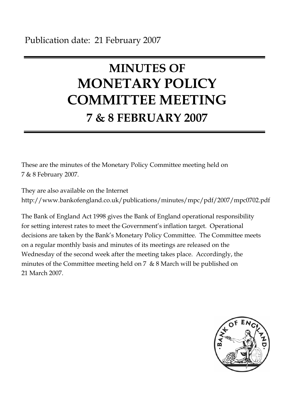# **MINUTES OF MONETARY POLICY COMMITTEE MEETING 7 & 8 FEBRUARY 2007**

These are the minutes of the Monetary Policy Committee meeting held on 7 & 8 February 2007.

They are also available on the Internet http://www.bankofengland.co.uk/publications/minutes/mpc/pdf/2007/mpc0702.pdf

The Bank of England Act 1998 gives the Bank of England operational responsibility for setting interest rates to meet the Government's inflation target. Operational decisions are taken by the Bank's Monetary Policy Committee. The Committee meets on a regular monthly basis and minutes of its meetings are released on the Wednesday of the second week after the meeting takes place. Accordingly, the minutes of the Committee meeting held on 7 & 8 March will be published on 21 March 2007.

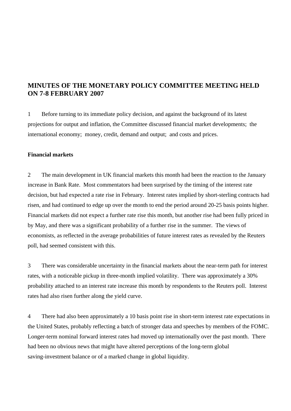# **MINUTES OF THE MONETARY POLICY COMMITTEE MEETING HELD ON 7-8 FEBRUARY 2007**

1 Before turning to its immediate policy decision, and against the background of its latest projections for output and inflation, the Committee discussed financial market developments; the international economy; money, credit, demand and output; and costs and prices.

## **Financial markets**

2 The main development in UK financial markets this month had been the reaction to the January increase in Bank Rate. Most commentators had been surprised by the timing of the interest rate decision, but had expected a rate rise in February. Interest rates implied by short-sterling contracts had risen, and had continued to edge up over the month to end the period around 20-25 basis points higher. Financial markets did not expect a further rate rise this month, but another rise had been fully priced in by May, and there was a significant probability of a further rise in the summer. The views of economists, as reflected in the average probabilities of future interest rates as revealed by the Reuters poll, had seemed consistent with this.

3 There was considerable uncertainty in the financial markets about the near-term path for interest rates, with a noticeable pickup in three-month implied volatility. There was approximately a 30% probability attached to an interest rate increase this month by respondents to the Reuters poll. Interest rates had also risen further along the yield curve.

4 There had also been approximately a 10 basis point rise in short-term interest rate expectations in the United States, probably reflecting a batch of stronger data and speeches by members of the FOMC. Longer-term nominal forward interest rates had moved up internationally over the past month. There had been no obvious news that might have altered perceptions of the long-term global saving-investment balance or of a marked change in global liquidity.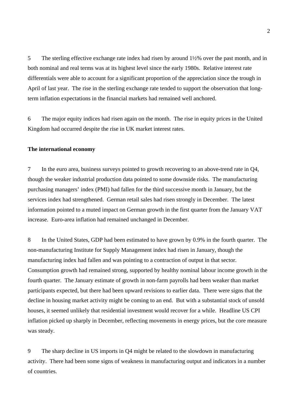5 The sterling effective exchange rate index had risen by around 1½% over the past month, and in both nominal and real terms was at its highest level since the early 1980s. Relative interest rate differentials were able to account for a significant proportion of the appreciation since the trough in April of last year. The rise in the sterling exchange rate tended to support the observation that longterm inflation expectations in the financial markets had remained well anchored.

6 The major equity indices had risen again on the month. The rise in equity prices in the United Kingdom had occurred despite the rise in UK market interest rates.

#### **The international economy**

7 In the euro area, business surveys pointed to growth recovering to an above-trend rate in Q4, though the weaker industrial production data pointed to some downside risks. The manufacturing purchasing managers' index (PMI) had fallen for the third successive month in January, but the services index had strengthened. German retail sales had risen strongly in December. The latest information pointed to a muted impact on German growth in the first quarter from the January VAT increase. Euro-area inflation had remained unchanged in December.

8 In the United States, GDP had been estimated to have grown by 0.9% in the fourth quarter. The non-manufacturing Institute for Supply Management index had risen in January, though the manufacturing index had fallen and was pointing to a contraction of output in that sector. Consumption growth had remained strong, supported by healthy nominal labour income growth in the fourth quarter. The January estimate of growth in non-farm payrolls had been weaker than market participants expected, but there had been upward revisions to earlier data. There were signs that the decline in housing market activity might be coming to an end. But with a substantial stock of unsold houses, it seemed unlikely that residential investment would recover for a while. Headline US CPI inflation picked up sharply in December, reflecting movements in energy prices, but the core measure was steady.

9 The sharp decline in US imports in Q4 might be related to the slowdown in manufacturing activity. There had been some signs of weakness in manufacturing output and indicators in a number of countries.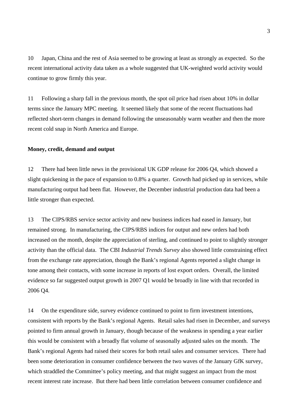10 Japan, China and the rest of Asia seemed to be growing at least as strongly as expected. So the recent international activity data taken as a whole suggested that UK-weighted world activity would continue to grow firmly this year.

11 Following a sharp fall in the previous month, the spot oil price had risen about 10% in dollar terms since the January MPC meeting*.* It seemed likely that some of the recent fluctuations had reflected short-term changes in demand following the unseasonably warm weather and then the more recent cold snap in North America and Europe.

#### **Money, credit, demand and output**

12 There had been little news in the provisional UK GDP release for 2006 Q4, which showed a slight quickening in the pace of expansion to 0.8% a quarter. Growth had picked up in services, while manufacturing output had been flat. However, the December industrial production data had been a little stronger than expected.

13 The CIPS/RBS service sector activity and new business indices had eased in January, but remained strong. In manufacturing, the CIPS/RBS indices for output and new orders had both increased on the month, despite the appreciation of sterling, and continued to point to slightly stronger activity than the official data. The CBI *Industrial Trends Survey* also showed little constraining effect from the exchange rate appreciation, though the Bank's regional Agents reported a slight change in tone among their contacts, with some increase in reports of lost export orders. Overall, the limited evidence so far suggested output growth in 2007 Q1 would be broadly in line with that recorded in 2006 Q4.

14 On the expenditure side, survey evidence continued to point to firm investment intentions, consistent with reports by the Bank's regional Agents. Retail sales had risen in December, and surveys pointed to firm annual growth in January, though because of the weakness in spending a year earlier this would be consistent with a broadly flat volume of seasonally adjusted sales on the month. The Bank's regional Agents had raised their scores for both retail sales and consumer services. There had been some deterioration in consumer confidence between the two waves of the January GfK survey, which straddled the Committee's policy meeting, and that might suggest an impact from the most recent interest rate increase. But there had been little correlation between consumer confidence and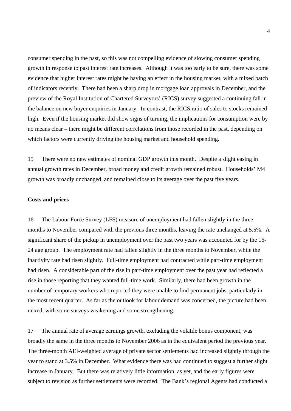consumer spending in the past, so this was not compelling evidence of slowing consumer spending growth in response to past interest rate increases. Although it was too early to be sure, there was some evidence that higher interest rates might be having an effect in the housing market, with a mixed batch of indicators recently. There had been a sharp drop in mortgage loan approvals in December, and the preview of the Royal Institution of Chartered Surveyors' (RICS) survey suggested a continuing fall in the balance on new buyer enquiries in January. In contrast, the RICS ratio of sales to stocks remained high. Even if the housing market did show signs of turning, the implications for consumption were by no means clear – there might be different correlations from those recorded in the past, depending on which factors were currently driving the housing market and household spending.

15 There were no new estimates of nominal GDP growth this month. Despite a slight easing in annual growth rates in December, broad money and credit growth remained robust. Households' M4 growth was broadly unchanged, and remained close to its average over the past five years.

## **Costs and prices**

16 The Labour Force Survey (LFS) measure of unemployment had fallen slightly in the three months to November compared with the previous three months, leaving the rate unchanged at 5.5%. A significant share of the pickup in unemployment over the past two years was accounted for by the 16- 24 age group. The employment rate had fallen slightly in the three months to November, while the inactivity rate had risen slightly. Full-time employment had contracted while part-time employment had risen. A considerable part of the rise in part-time employment over the past year had reflected a rise in those reporting that they wanted full-time work. Similarly, there had been growth in the number of temporary workers who reported they were unable to find permanent jobs, particularly in the most recent quarter. As far as the outlook for labour demand was concerned, the picture had been mixed, with some surveys weakening and some strengthening.

17 The annual rate of average earnings growth, excluding the volatile bonus component, was broadly the same in the three months to November 2006 as in the equivalent period the previous year. The three-month AEI-weighted average of private sector settlements had increased slightly through the year to stand at 3.5% in December. What evidence there was had continued to suggest a further slight increase in January. But there was relatively little information, as yet, and the early figures were subject to revision as further settlements were recorded. The Bank's regional Agents had conducted a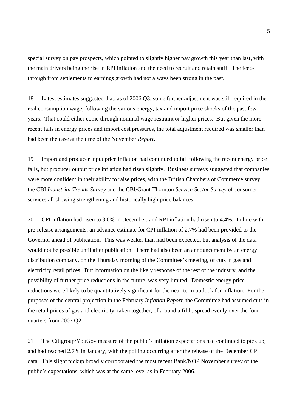special survey on pay prospects, which pointed to slightly higher pay growth this year than last, with the main drivers being the rise in RPI inflation and the need to recruit and retain staff. The feedthrough from settlements to earnings growth had not always been strong in the past.

18 Latest estimates suggested that, as of 2006 Q3, some further adjustment was still required in the real consumption wage, following the various energy, tax and import price shocks of the past few years. That could either come through nominal wage restraint or higher prices. But given the more recent falls in energy prices and import cost pressures, the total adjustment required was smaller than had been the case at the time of the November *Report*.

19 Import and producer input price inflation had continued to fall following the recent energy price falls, but producer output price inflation had risen slightly. Business surveys suggested that companies were more confident in their ability to raise prices, with the British Chambers of Commerce survey, the CBI *Industrial Trends Survey* and the CBI/Grant Thornton *Service Sector Survey* of consumer services all showing strengthening and historically high price balances.

20 CPI inflation had risen to 3.0% in December, and RPI inflation had risen to 4.4%. In line with pre-release arrangements, an advance estimate for CPI inflation of 2.7% had been provided to the Governor ahead of publication. This was weaker than had been expected, but analysis of the data would not be possible until after publication. There had also been an announcement by an energy distribution company, on the Thursday morning of the Committee's meeting, of cuts in gas and electricity retail prices. But information on the likely response of the rest of the industry, and the possibility of further price reductions in the future, was very limited. Domestic energy price reductions were likely to be quantitatively significant for the near-term outlook for inflation. For the purposes of the central projection in the February *Inflation Report*, the Committee had assumed cuts in the retail prices of gas and electricity, taken together, of around a fifth, spread evenly over the four quarters from 2007 Q2.

21 The Citigroup/YouGov measure of the public's inflation expectations had continued to pick up, and had reached 2.7% in January, with the polling occurring after the release of the December CPI data. This slight pickup broadly corroborated the most recent Bank/NOP November survey of the public's expectations, which was at the same level as in February 2006.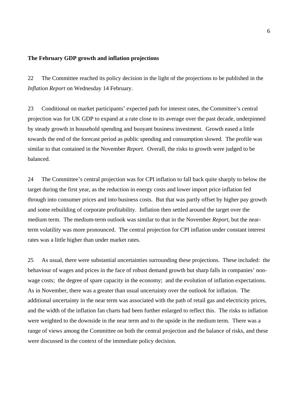# **The February GDP growth and inflation projections**

22 The Committee reached its policy decision in the light of the projections to be published in the *Inflation Report* on Wednesday 14 February.

23 Conditional on market participants' expected path for interest rates, the Committee's central projection was for UK GDP to expand at a rate close to its average over the past decade, underpinned by steady growth in household spending and buoyant business investment. Growth eased a little towards the end of the forecast period as public spending and consumption slowed. The profile was similar to that contained in the November *Report.* Overall, the risks to growth were judged to be balanced.

24 The Committee's central projection was for CPI inflation to fall back quite sharply to below the target during the first year, as the reduction in energy costs and lower import price inflation fed through into consumer prices and into business costs. But that was partly offset by higher pay growth and some rebuilding of corporate profitability. Inflation then settled around the target over the medium term. The medium-term outlook was similar to that in the November *Report*, but the nearterm volatility was more pronounced. The central projection for CPI inflation under constant interest rates was a little higher than under market rates.

25 As usual, there were substantial uncertainties surrounding these projections. These included: the behaviour of wages and prices in the face of robust demand growth but sharp falls in companies' nonwage costs; the degree of spare capacity in the economy; and the evolution of inflation expectations. As in November, there was a greater than usual uncertainty over the outlook for inflation. The additional uncertainty in the near term was associated with the path of retail gas and electricity prices, and the width of the inflation fan charts had been further enlarged to reflect this. The risks to inflation were weighted to the downside in the near term and to the upside in the medium term. There was a range of views among the Committee on both the central projection and the balance of risks, and these were discussed in the context of the immediate policy decision.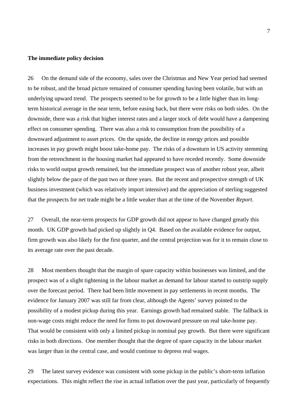#### **The immediate policy decision**

26 On the demand side of the economy, sales over the Christmas and New Year period had seemed to be robust, and the broad picture remained of consumer spending having been volatile, but with an underlying upward trend. The prospects seemed to be for growth to be a little higher than its longterm historical average in the near term, before easing back, but there were risks on both sides. On the downside, there was a risk that higher interest rates and a larger stock of debt would have a dampening effect on consumer spending. There was also a risk to consumption from the possibility of a downward adjustment to asset prices. On the upside, the decline in energy prices and possible increases in pay growth might boost take-home pay. The risks of a downturn in US activity stemming from the retrenchment in the housing market had appeared to have receded recently. Some downside risks to world output growth remained, but the immediate prospect was of another robust year, albeit slightly below the pace of the past two or three years. But the recent and prospective strength of UK business investment (which was relatively import intensive) and the appreciation of sterling suggested that the prospects for net trade might be a little weaker than at the time of the November *Report*.

27 Overall, the near-term prospects for GDP growth did not appear to have changed greatly this month. UK GDP growth had picked up slightly in Q4. Based on the available evidence for output, firm growth was also likely for the first quarter, and the central projection was for it to remain close to its average rate over the past decade.

28 Most members thought that the margin of spare capacity within businesses was limited, and the prospect was of a slight tightening in the labour market as demand for labour started to outstrip supply over the forecast period. There had been little movement in pay settlements in recent months. The evidence for January 2007 was still far from clear, although the Agents' survey pointed to the possibility of a modest pickup during this year. Earnings growth had remained stable. The fallback in non-wage costs might reduce the need for firms to put downward pressure on real take-home pay. That would be consistent with only a limited pickup in nominal pay growth. But there were significant risks in both directions. One member thought that the degree of spare capacity in the labour market was larger than in the central case, and would continue to depress real wages.

29 The latest survey evidence was consistent with some pickup in the public's short-term inflation expectations. This might reflect the rise in actual inflation over the past year, particularly of frequently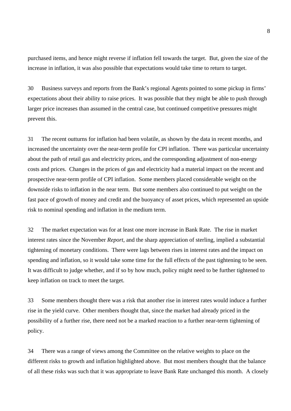purchased items, and hence might reverse if inflation fell towards the target. But, given the size of the increase in inflation, it was also possible that expectations would take time to return to target.

30 Business surveys and reports from the Bank's regional Agents pointed to some pickup in firms' expectations about their ability to raise prices. It was possible that they might be able to push through larger price increases than assumed in the central case, but continued competitive pressures might prevent this.

31 The recent outturns for inflation had been volatile, as shown by the data in recent months, and increased the uncertainty over the near-term profile for CPI inflation. There was particular uncertainty about the path of retail gas and electricity prices, and the corresponding adjustment of non-energy costs and prices. Changes in the prices of gas and electricity had a material impact on the recent and prospective near-term profile of CPI inflation. Some members placed considerable weight on the downside risks to inflation in the near term. But some members also continued to put weight on the fast pace of growth of money and credit and the buoyancy of asset prices, which represented an upside risk to nominal spending and inflation in the medium term.

32 The market expectation was for at least one more increase in Bank Rate. The rise in market interest rates since the November *Report*, and the sharp appreciation of sterling, implied a substantial tightening of monetary conditions. There were lags between rises in interest rates and the impact on spending and inflation, so it would take some time for the full effects of the past tightening to be seen. It was difficult to judge whether, and if so by how much, policy might need to be further tightened to keep inflation on track to meet the target.

33 Some members thought there was a risk that another rise in interest rates would induce a further rise in the yield curve. Other members thought that, since the market had already priced in the possibility of a further rise, there need not be a marked reaction to a further near-term tightening of policy.

34 There was a range of views among the Committee on the relative weights to place on the different risks to growth and inflation highlighted above. But most members thought that the balance of all these risks was such that it was appropriate to leave Bank Rate unchanged this month. A closely